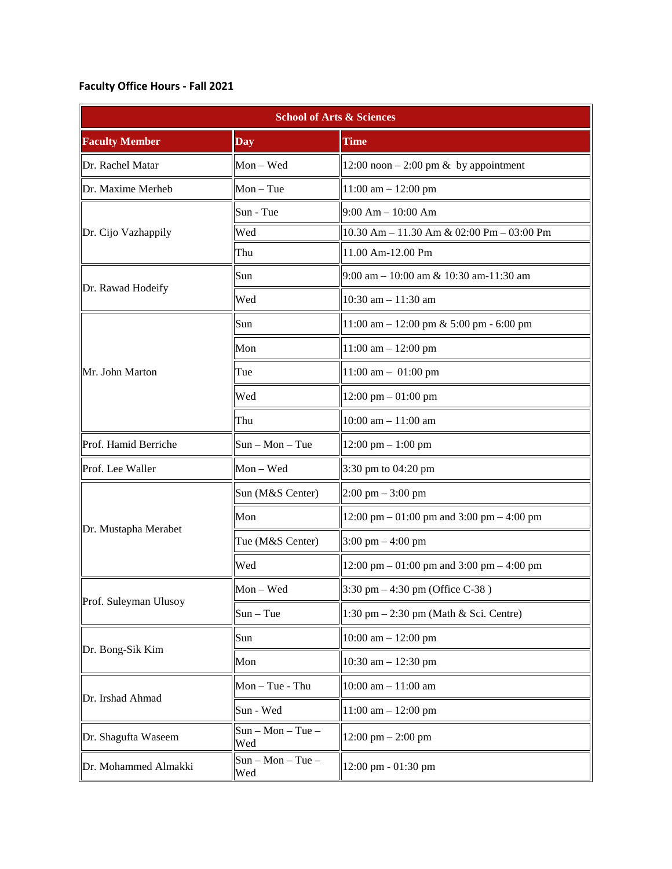## **Faculty Office Hours - Fall 2021**

| <b>School of Arts &amp; Sciences</b> |                            |                                                          |  |
|--------------------------------------|----------------------------|----------------------------------------------------------|--|
| <b>Faculty Member</b><br><b>Day</b>  |                            | <b>Time</b>                                              |  |
| Dr. Rachel Matar                     | Mon-Wed                    | 12:00 noon $-2:00$ pm & by appointment                   |  |
| Dr. Maxime Merheb                    | $Mon - Tue$                | 11:00 am $- 12:00$ pm                                    |  |
|                                      | Sun - Tue                  | $9:00 \text{ Am} - 10:00 \text{ Am}$                     |  |
| Dr. Cijo Vazhappily                  | Wed                        | 10.30 Am - 11.30 Am & 02:00 Pm - 03:00 Pm                |  |
|                                      | Thu                        | 11.00 Am-12.00 Pm                                        |  |
| Dr. Rawad Hodeify                    | Sun                        | $9:00$ am $-10:00$ am & 10:30 am-11:30 am                |  |
|                                      | Wed                        | 10:30 am $- 11:30$ am                                    |  |
|                                      | Sun                        | 11:00 am - 12:00 pm & 5:00 pm - 6:00 pm                  |  |
|                                      | Mon                        | $11:00$ am $- 12:00$ pm                                  |  |
| Mr. John Marton                      | Tue                        | 11:00 am $-$ 01:00 pm                                    |  |
|                                      | Wed                        | $12:00$ pm $-01:00$ pm                                   |  |
|                                      | Thu                        | 10:00 am $- 11:00$ am                                    |  |
| Prof. Hamid Berriche                 | $Sun - Mon - Tue$          | $12:00$ pm $- 1:00$ pm                                   |  |
| Prof. Lee Waller                     | Mon - Wed                  | 3:30 pm to 04:20 pm                                      |  |
|                                      | Sun (M&S Center)           | $2:00 \text{ pm} - 3:00 \text{ pm}$                      |  |
|                                      | Mon                        | 12:00 pm $-$ 01:00 pm and 3:00 pm $-$ 4:00 pm            |  |
| Dr. Mustapha Merabet                 | Tue (M&S Center)           | $3:00 \text{ pm} - 4:00 \text{ pm}$                      |  |
|                                      | Wed                        | 12:00 pm $-$ 01:00 pm and 3:00 pm $-$ 4:00 pm            |  |
|                                      | $Mon - Wed$                | $\left 3:30 \right $ pm $-4:30 \right $ pm (Office C-38) |  |
| Prof. Suleyman Ulusoy                | $Sun - Tue$                | $\parallel$ 1:30 pm – 2:30 pm (Math & Sci. Centre)       |  |
|                                      | Sun                        | 10:00 am $- 12:00$ pm                                    |  |
| Dr. Bong-Sik Kim                     | Mon                        | 10:30 am - 12:30 pm                                      |  |
|                                      | Mon-Tue-Thu                | $10:00$ am $- 11:00$ am                                  |  |
| Dr. Irshad Ahmad                     | Sun - Wed                  | $11:00$ am $- 12:00$ pm                                  |  |
| Dr. Shagufta Waseem                  | $Sun - Mon - Tue -$<br>Wed | $12:00 \text{ pm} - 2:00 \text{ pm}$                     |  |
| Dr. Mohammed Almakki                 | $Sun - Mon - Tue -$<br>Wed | 12:00 pm - 01:30 pm                                      |  |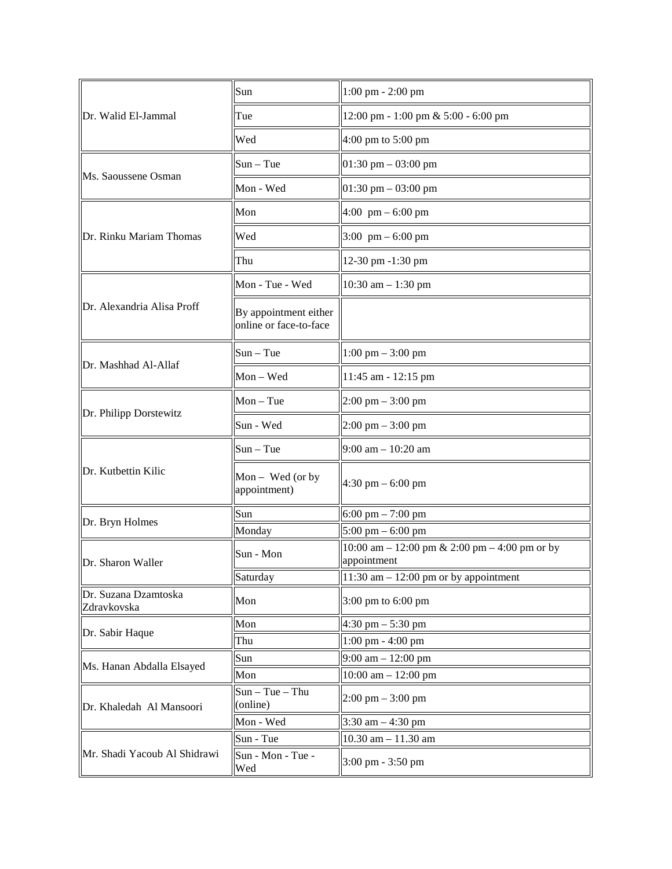|                                     | Sun                                             | $1:00 \text{ pm} - 2:00 \text{ pm}$                                |  |
|-------------------------------------|-------------------------------------------------|--------------------------------------------------------------------|--|
| Dr. Walid El-Jammal                 | Tue                                             | $12:00 \text{ pm} - 1:00 \text{ pm} \& 5:00 - 6:00 \text{ pm}$     |  |
|                                     | Wed                                             | $4:00$ pm to 5:00 pm                                               |  |
|                                     | $Sun - Tue$                                     | $ 01:30 \text{ pm} - 03:00 \text{ pm}$                             |  |
| Ms. Saoussene Osman                 | Mon - Wed                                       | $01:30 \text{ pm} - 03:00 \text{ pm}$                              |  |
|                                     | Mon                                             | $4:00 \text{ pm} - 6:00 \text{ pm}$                                |  |
| Dr. Rinku Mariam Thomas             | Wed                                             | $3:00 \text{ pm} - 6:00 \text{ pm}$                                |  |
|                                     | Thu                                             | 12-30 pm -1:30 pm                                                  |  |
|                                     | Mon - Tue - Wed                                 | $10:30$ am $- 1:30$ pm                                             |  |
| Dr. Alexandria Alisa Proff          | By appointment either<br>online or face-to-face |                                                                    |  |
|                                     | $Sun - Tue$                                     | $1:00 \text{ pm} - 3:00 \text{ pm}$                                |  |
| Dr. Mashhad Al-Allaf                | Mon - Wed                                       | $11:45$ am - 12:15 pm                                              |  |
|                                     | $Mon - Tue$                                     | $2:00 \text{ pm} - 3:00 \text{ pm}$                                |  |
| Dr. Philipp Dorstewitz              | Sun - Wed                                       | $2:00 \text{ pm} - 3:00 \text{ pm}$                                |  |
|                                     | $Sun - Tue$                                     | $9:00$ am $-10:20$ am                                              |  |
| Dr. Kutbettin Kilic                 | Mon – Wed (or by<br>appointment)                | $4:30$ pm $-6:00$ pm                                               |  |
|                                     | Sun                                             | 6:00 pm $- 7:00$ pm                                                |  |
| Dr. Bryn Holmes                     | Monday                                          | $5:00 \text{ pm} - 6:00 \text{ pm}$                                |  |
| Dr. Sharon Waller                   | Sun - Mon                                       | $10:00$ am $- 12:00$ pm & 2:00 pm $- 4:00$ pm or by<br>appointment |  |
|                                     | Saturday                                        | $\parallel$ 11:30 am - 12:00 pm or by appointment                  |  |
| Dr. Suzana Dzamtoska<br>Zdravkovska | Mon                                             | $3:00 \text{ pm}$ to 6:00 pm                                       |  |
|                                     | Mon                                             | 4:30 pm $-$ 5:30 pm                                                |  |
| Dr. Sabir Haque                     | Thu                                             | $1:00 \text{ pm} - 4:00 \text{ pm}$                                |  |
|                                     | Sun                                             | $9:00 \text{ am} - 12:00 \text{ pm}$                               |  |
| Ms. Hanan Abdalla Elsayed           | Mon                                             | $10:00$ am $- 12:00$ pm                                            |  |
| Dr. Khaledah Al Mansoori            | $Sun - Tue - Thu$<br>(online)                   | $2:00 \text{ pm} - 3:00 \text{ pm}$                                |  |
|                                     | Mon - Wed                                       | 3:30 am $-4:30$ pm                                                 |  |
|                                     | Sun - Tue                                       | $10.30$ am $- 11.30$ am                                            |  |
| Mr. Shadi Yacoub Al Shidrawi        | Sun - Mon - Tue -<br>Wed                        | 3:00 pm - 3:50 pm                                                  |  |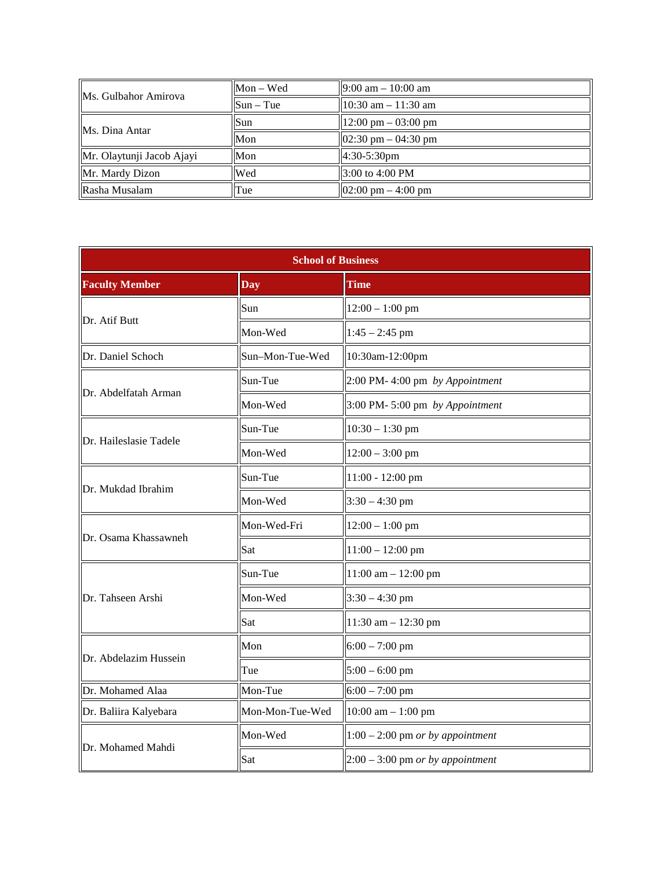| <b>IMs.</b> Gulbahor Amirova | $Mon - Wed$               | $\sqrt{9:00 \text{ am} - 10:00 \text{ am}}$    |  |
|------------------------------|---------------------------|------------------------------------------------|--|
|                              | $\text{Sun} - \text{Tue}$ | $10:30$ am $-11:30$ am                         |  |
| Ms. Dina Antar               | <b>Sun</b>                | $\parallel$ 12:00 pm – 03:00 pm                |  |
|                              | Mon                       | $\left  02:30 \right $ pm $- 04:30 \right $ pm |  |
| Mr. Olaytunji Jacob Ajayi    | Mon                       | $ 4:30-5:30$ pm                                |  |
| Mr. Mardy Dizon              | Wed                       | $\parallel$ 3:00 to 4:00 PM                    |  |
| Rasha Musalam                | Tue                       | $\left  02:00 \right $ pm $-4:00 \right $ pm   |  |

| <b>School of Business</b> |                 |                                    |  |
|---------------------------|-----------------|------------------------------------|--|
| <b>Faculty Member</b>     | <b>Day</b>      | <b>Time</b>                        |  |
|                           | Sun             | $12:00 - 1:00$ pm                  |  |
| Dr. Atif Butt             | Mon-Wed         | $1:45 - 2:45$ pm                   |  |
| Dr. Daniel Schoch         | Sun-Mon-Tue-Wed | 10:30am-12:00pm                    |  |
|                           | Sun-Tue         | 2:00 PM- 4:00 pm by Appointment    |  |
| Dr. Abdelfatah Arman      | Mon-Wed         | 3:00 PM-5:00 pm by Appointment     |  |
|                           | Sun-Tue         | $10:30 - 1:30$ pm                  |  |
| Dr. Haileslasie Tadele    | Mon-Wed         | $12:00 - 3:00$ pm                  |  |
|                           | Sun-Tue         | 11:00 - 12:00 pm                   |  |
| Dr. Mukdad Ibrahim        | Mon-Wed         | $3:30 - 4:30$ pm                   |  |
|                           | Mon-Wed-Fri     | $12:00 - 1:00$ pm                  |  |
| Dr. Osama Khassawneh      | Sat             | $11:00 - 12:00$ pm                 |  |
|                           | Sun-Tue         | $11:00$ am $- 12:00$ pm            |  |
| Dr. Tahseen Arshi         | Mon-Wed         | $3:30 - 4:30$ pm                   |  |
|                           | Sat             | 11:30 am - 12:30 pm                |  |
|                           | Mon             | $6:00 - 7:00$ pm                   |  |
| Dr. Abdelazim Hussein     | Tue             | $5:00 - 6:00$ pm                   |  |
| Dr. Mohamed Alaa          | Mon-Tue         | $6:00 - 7:00$ pm                   |  |
| Dr. Baliira Kalyebara     | Mon-Mon-Tue-Wed | 10:00 am $- 1:00$ pm               |  |
| Dr. Mohamed Mahdi         | Mon-Wed         | $1:00 - 2:00$ pm or by appointment |  |
|                           | Sat             | $2:00 - 3:00$ pm or by appointment |  |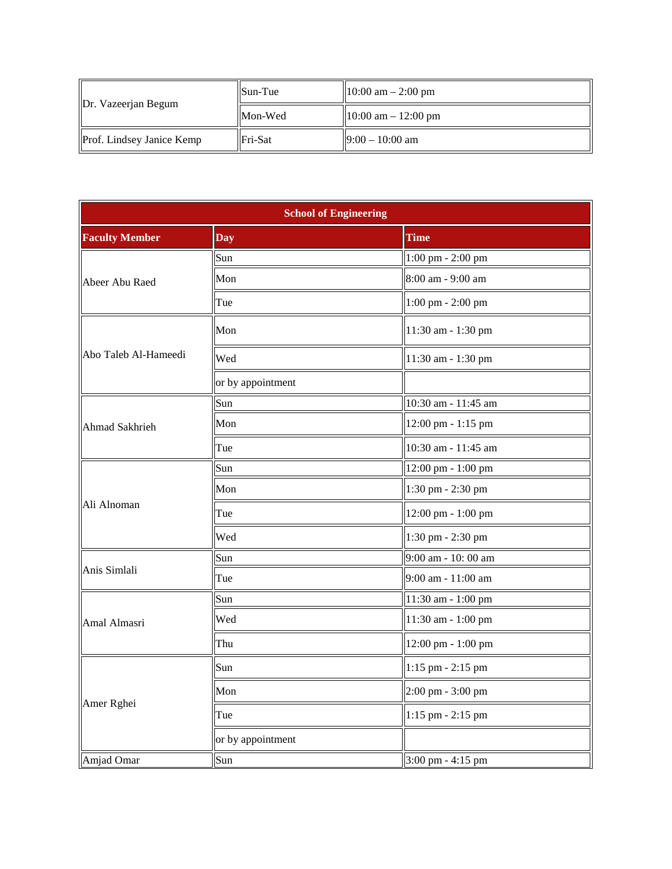|                                  | $\text{Sun-Tue}$ | $10:00 \text{ am} - 2:00 \text{ pm}$ |
|----------------------------------|------------------|--------------------------------------|
| Dr. Vazeerjan Begum              | Mon-Wed          | $10:00$ am $- 12:00$ pm              |
| <b>Prof.</b> Lindsey Janice Kemp | <b>Fri-Sat</b>   | $ 9:00 - 10:00$ am                   |

| <b>School of Engineering</b> |                   |                                      |  |
|------------------------------|-------------------|--------------------------------------|--|
| <b>Faculty Member</b>        | <b>Day</b>        | <b>Time</b>                          |  |
|                              | Sun               | 1:00 pm - 2:00 pm                    |  |
| Abeer Abu Raed               | Mon               | 8:00 am - 9:00 am                    |  |
|                              | Tue               | 1:00 pm - 2:00 pm                    |  |
|                              | Mon               | 11:30 am - 1:30 pm                   |  |
| Abo Taleb Al-Hameedi         | Wed               | 11:30 am - 1:30 pm                   |  |
|                              | or by appointment |                                      |  |
|                              | Sun               | 10:30 am - 11:45 am                  |  |
| Ahmad Sakhrieh               | Mon               | 12:00 pm - 1:15 pm                   |  |
|                              | Tue               | 10:30 am - 11:45 am                  |  |
|                              | Sun               | $12:00 \text{ pm} - 1:00 \text{ pm}$ |  |
|                              | Mon               | 1:30 pm - 2:30 pm                    |  |
| Ali Alnoman                  | Tue               | 12:00 pm - 1:00 pm                   |  |
|                              | Wed               | 1:30 pm - 2:30 pm                    |  |
|                              | Sun               | 9:00 am - 10:00 am                   |  |
| Anis Simlali                 | Tue               | 9:00 am - 11:00 am                   |  |
|                              | Sun               | 11:30 am - 1:00 pm                   |  |
| Amal Almasri                 | Wed               | 11:30 am - 1:00 pm                   |  |
|                              | Thu               | 12:00 pm - 1:00 pm                   |  |
|                              | Sun               | 1:15 pm - 2:15 pm                    |  |
|                              | Mon               | 2:00 pm - 3:00 pm                    |  |
| Amer Rghei                   | Tue               | 1:15 pm - 2:15 pm                    |  |
|                              | or by appointment |                                      |  |
| Amjad Omar                   | Sun               | 3:00 pm - 4:15 pm                    |  |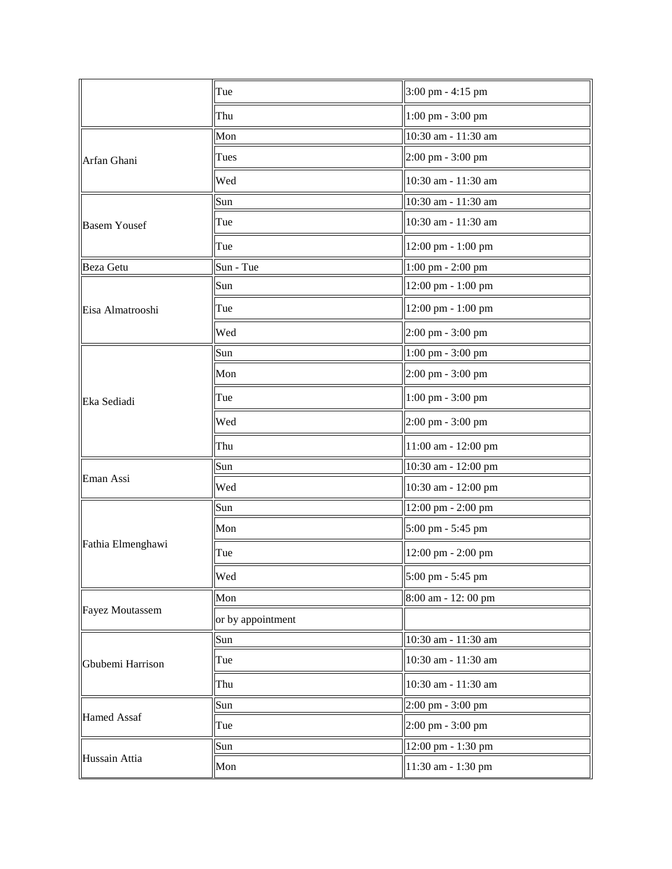|                        | Tue               | 3:00 pm - 4:15 pm   |
|------------------------|-------------------|---------------------|
|                        | Thu               | 1:00 pm - 3:00 pm   |
|                        | Mon               | 10:30 am - 11:30 am |
| Arfan Ghani            | Tues              | 2:00 pm - 3:00 pm   |
|                        | Wed               | 10:30 am - 11:30 am |
|                        | Sun               | 10:30 am - 11:30 am |
| <b>Basem Yousef</b>    | Tue               | 10:30 am - 11:30 am |
|                        | Tue               | 12:00 pm - 1:00 pm  |
| <b>Beza Getu</b>       | Sun - Tue         | 1:00 pm - 2:00 pm   |
|                        | Sun               | 12:00 pm - 1:00 pm  |
| Eisa Almatrooshi       | Tue               | 12:00 pm - 1:00 pm  |
|                        | Wed               | 2:00 pm - 3:00 pm   |
|                        | Sun               | 1:00 pm - 3:00 pm   |
|                        | Mon               | 2:00 pm - 3:00 pm   |
| Eka Sediadi            | Tue               | 1:00 pm - 3:00 pm   |
|                        | Wed               | 2:00 pm - 3:00 pm   |
|                        | Thu               | 11:00 am - 12:00 pm |
|                        | Sun               | 10:30 am - 12:00 pm |
| Eman Assi              | Wed               | 10:30 am - 12:00 pm |
|                        | Sun               | 12:00 pm - 2:00 pm  |
|                        | Mon               | 5:00 pm - 5:45 pm   |
| Fathia Elmenghawi      | Tue               | 12:00 pm - 2:00 pm  |
|                        | Wed               | 5:00 pm - 5:45 pm   |
|                        | Mon               | 8:00 am - 12:00 pm  |
| <b>Fayez Moutassem</b> | or by appointment |                     |
|                        | Sun               | 10:30 am - 11:30 am |
| Gbubemi Harrison       | Tue               | 10:30 am - 11:30 am |
|                        | Thu               | 10:30 am - 11:30 am |
|                        | Sun               | 2:00 pm - 3:00 pm   |
| <b>Hamed Assaf</b>     | Tue               | 2:00 pm - 3:00 pm   |
|                        | Sun               | 12:00 pm - 1:30 pm  |
| Hussain Attia          | Mon               | 11:30 am - 1:30 pm  |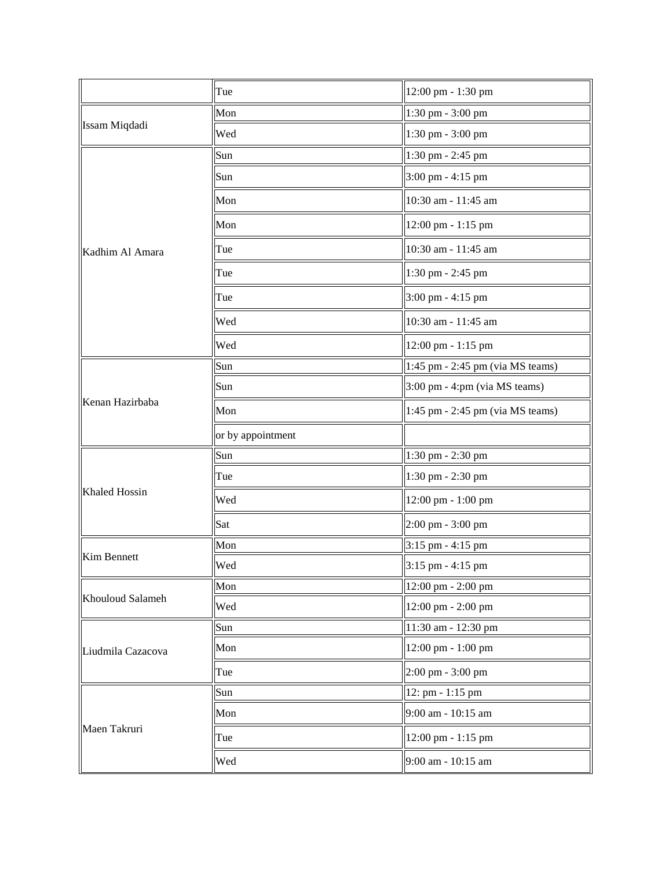|                   | Tue               | 12:00 pm - 1:30 pm                 |
|-------------------|-------------------|------------------------------------|
|                   | Mon               | 1:30 pm - 3:00 pm                  |
| Issam Miqdadi     | Wed               | 1:30 pm - 3:00 pm                  |
|                   | Sun               | 1:30 pm - 2:45 pm                  |
|                   | Sun               | 3:00 pm - 4:15 pm                  |
|                   | Mon               | 10:30 am - 11:45 am                |
|                   | Mon               | 12:00 pm - 1:15 pm                 |
| Kadhim Al Amara   | Tue               | 10:30 am - 11:45 am                |
|                   | Tue               | 1:30 pm - 2:45 pm                  |
|                   | Tue               | 3:00 pm - 4:15 pm                  |
|                   | Wed               | 10:30 am - 11:45 am                |
|                   | Wed               | 12:00 pm - 1:15 pm                 |
|                   | Sun               | 1:45 pm - 2:45 pm (via MS teams)   |
|                   | Sun               | 3:00 pm - 4:pm (via MS teams)      |
| Kenan Hazirbaba   |                   |                                    |
|                   | Mon               | $1:45$ pm - 2:45 pm (via MS teams) |
|                   | or by appointment |                                    |
|                   | Sun               | 1:30 pm - 2:30 pm                  |
|                   | Tue               | 1:30 pm - 2:30 pm                  |
| Khaled Hossin     | Wed               | 12:00 pm - 1:00 pm                 |
|                   | Sat               | 2:00 pm - 3:00 pm                  |
|                   | Mon               | $3:15$ pm - 4:15 pm                |
| Kim Bennett       | Wed               | 3:15 pm - 4:15 pm                  |
|                   | Mon               | 12:00 pm - 2:00 pm                 |
| Khouloud Salameh  | Wed               | 12:00 pm - 2:00 pm                 |
|                   | Sun               | 11:30 am - 12:30 pm                |
| Liudmila Cazacova | Mon               | 12:00 pm - 1:00 pm                 |
|                   | Tue               | 2:00 pm - 3:00 pm                  |
|                   | Sun               | 12: pm - 1:15 pm                   |
|                   | Mon               | 9:00 am - 10:15 am                 |
| Maen Takruri      | Tue               | 12:00 pm - 1:15 pm                 |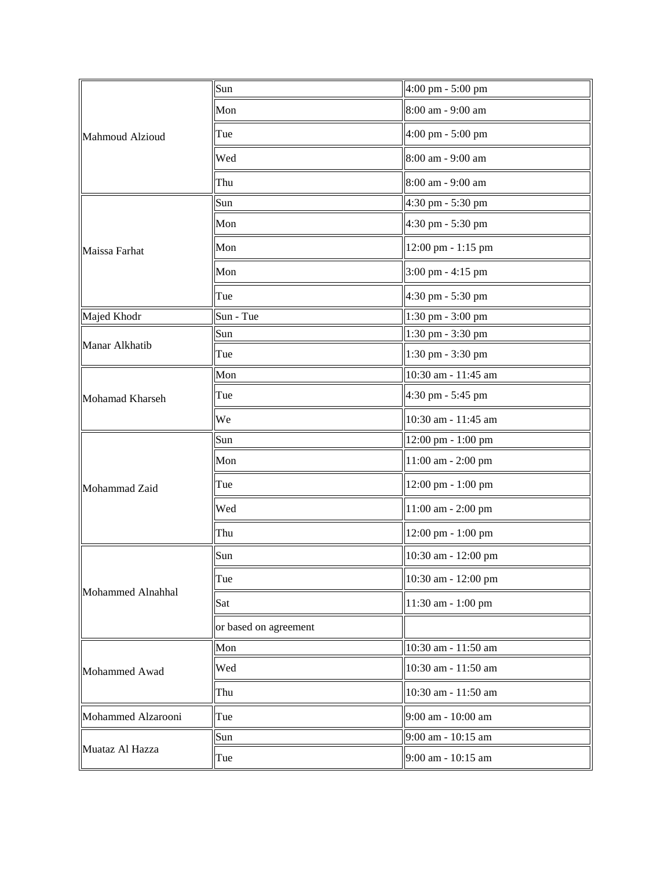|                    | Sun                   | 4:00 pm - 5:00 pm                   |
|--------------------|-----------------------|-------------------------------------|
|                    | Mon                   | 8:00 am - 9:00 am                   |
| Mahmoud Alzioud    | Tue                   | 4:00 pm - 5:00 pm                   |
|                    | Wed                   | 8:00 am - 9:00 am                   |
|                    | Thu                   | 8:00 am - 9:00 am                   |
|                    | Sun                   | $4:30 \text{ pm} - 5:30 \text{ pm}$ |
|                    | Mon                   | 4:30 pm - 5:30 pm                   |
| Maissa Farhat      | Mon                   | 12:00 pm - 1:15 pm                  |
|                    | Mon                   | 3:00 pm - 4:15 pm                   |
|                    | Tue                   | 4:30 pm - 5:30 pm                   |
| Majed Khodr        | Sun - Tue             | 1:30 pm - 3:00 pm                   |
|                    | Sun                   | 1:30 pm - 3:30 pm                   |
| Manar Alkhatib     | Tue                   | 1:30 pm - 3:30 pm                   |
|                    | Mon                   | 10:30 am - 11:45 am                 |
| Mohamad Kharseh    | Tue                   | 4:30 pm - 5:45 pm                   |
|                    | We                    | 10:30 am - 11:45 am                 |
|                    | Sun                   | $12:00$ pm - 1:00 pm                |
|                    | Mon                   | 11:00 am - 2:00 pm                  |
| Mohammad Zaid      | Tue                   | 12:00 pm - 1:00 pm                  |
|                    | Wed                   | 11:00 am - 2:00 pm                  |
|                    | Thu                   | 12:00 pm - 1:00 pm                  |
|                    | Sun                   | 10:30 am - 12:00 pm                 |
|                    | Tue                   | 10:30 am - 12:00 pm                 |
| Mohammed Alnahhal  | Sat                   | 11:30 am - 1:00 pm                  |
|                    | or based on agreement |                                     |
|                    | Mon                   | 10:30 am - 11:50 am                 |
| Mohammed Awad      | Wed                   | 10:30 am - 11:50 am                 |
|                    | Thu                   | 10:30 am - 11:50 am                 |
| Mohammed Alzarooni | Tue                   | 9:00 am - 10:00 am                  |
|                    | Sun                   | 9:00 am - 10:15 am                  |
| Muataz Al Hazza    | Tue                   | 9:00 am - 10:15 am                  |